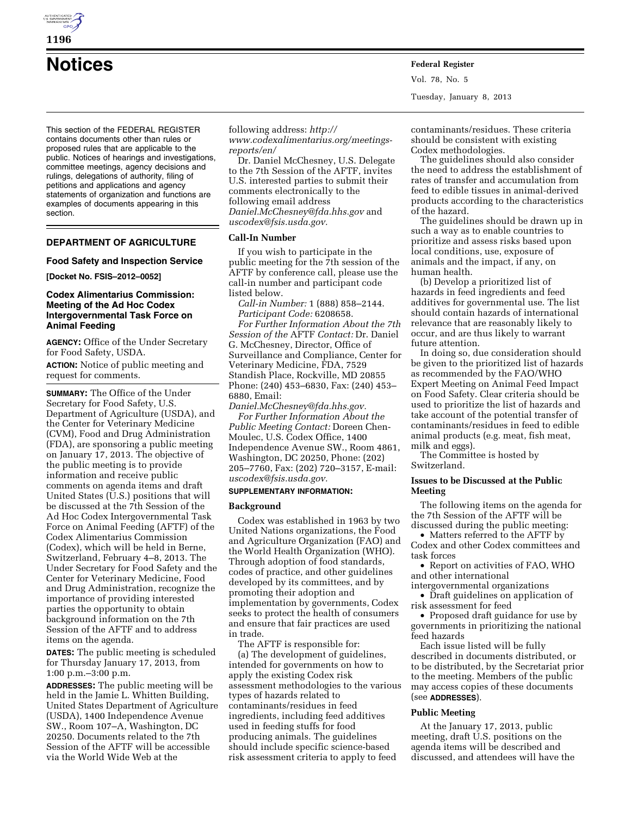

**Notices Federal Register**

This section of the FEDERAL REGISTER contains documents other than rules or proposed rules that are applicable to the public. Notices of hearings and investigations, committee meetings, agency decisions and rulings, delegations of authority, filing of petitions and applications and agency statements of organization and functions are examples of documents appearing in this section.

# **DEPARTMENT OF AGRICULTURE**

### **Food Safety and Inspection Service**

**[Docket No. FSIS–2012–0052]** 

## **Codex Alimentarius Commission: Meeting of the Ad Hoc Codex Intergovernmental Task Force on Animal Feeding**

**AGENCY:** Office of the Under Secretary for Food Safety, USDA.

**ACTION:** Notice of public meeting and request for comments.

**SUMMARY:** The Office of the Under Secretary for Food Safety, U.S. Department of Agriculture (USDA), and the Center for Veterinary Medicine (CVM), Food and Drug Administration (FDA), are sponsoring a public meeting on January 17, 2013. The objective of the public meeting is to provide information and receive public comments on agenda items and draft United States (U.S.) positions that will be discussed at the 7th Session of the Ad Hoc Codex Intergovernmental Task Force on Animal Feeding (AFTF) of the Codex Alimentarius Commission (Codex), which will be held in Berne, Switzerland, February 4–8, 2013. The Under Secretary for Food Safety and the Center for Veterinary Medicine, Food and Drug Administration, recognize the importance of providing interested parties the opportunity to obtain background information on the 7th Session of the AFTF and to address items on the agenda.

**DATES:** The public meeting is scheduled for Thursday January 17, 2013, from 1:00 p.m.–3:00 p.m.

**ADDRESSES:** The public meeting will be held in the Jamie L. Whitten Building, United States Department of Agriculture (USDA), 1400 Independence Avenue SW., Room 107–A, Washington, DC 20250. Documents related to the 7th Session of the AFTF will be accessible via the World Wide Web at the

following address: *[http://](http://www.codexalimentarius.org/meetings-reports/en/)  [www.codexalimentarius.org/meetings](http://www.codexalimentarius.org/meetings-reports/en/)[reports/en/](http://www.codexalimentarius.org/meetings-reports/en/)* 

Dr. Daniel McChesney, U.S. Delegate to the 7th Session of the AFTF, invites U.S. interested parties to submit their comments electronically to the following email address *[Daniel.McChesney@fda.hhs.gov](mailto:Daniel.McChesney@fda.hhs.gov)* and *[uscodex@fsis.usda.gov.](mailto:uscodex@fsis.usda.gov)* 

# **Call-In Number**

If you wish to participate in the public meeting for the 7th session of the AFTF by conference call, please use the call-in number and participant code listed below.

*Call-in Number:* 1 (888) 858–2144. *Participant Code:* 6208658.

*For Further Information About the 7th Session of the* AFTF *Contact:* Dr. Daniel G. McChesney, Director, Office of Surveillance and Compliance, Center for Veterinary Medicine, FDA, 7529 Standish Place, Rockville, MD 20855 Phone: (240) 453–6830, Fax: (240) 453– 6880, Email:

*[Daniel.McChesney@fda.hhs.gov.](mailto:Daniel.McChesney@fda.hhs.gov)  For Further Information About the Public Meeting Contact:* Doreen Chen-Moulec, U.S. Codex Office, 1400 Independence Avenue SW., Room 4861, Washington, DC 20250, Phone: (202) 205–7760, Fax: (202) 720–3157, E-mail: *[uscodex@fsis.usda.gov.](mailto:uscodex@fsis.usda.gov)* 

# **SUPPLEMENTARY INFORMATION:**

#### **Background**

Codex was established in 1963 by two United Nations organizations, the Food and Agriculture Organization (FAO) and the World Health Organization (WHO). Through adoption of food standards, codes of practice, and other guidelines developed by its committees, and by promoting their adoption and implementation by governments, Codex seeks to protect the health of consumers and ensure that fair practices are used in trade.

The AFTF is responsible for: (a) The development of guidelines, intended for governments on how to apply the existing Codex risk assessment methodologies to the various types of hazards related to contaminants/residues in feed ingredients, including feed additives used in feeding stuffs for food producing animals. The guidelines should include specific science-based risk assessment criteria to apply to feed

contaminants/residues. These criteria should be consistent with existing Codex methodologies.

Vol. 78, No. 5

Tuesday, January 8, 2013

The guidelines should also consider the need to address the establishment of rates of transfer and accumulation from feed to edible tissues in animal-derived products according to the characteristics of the hazard.

The guidelines should be drawn up in such a way as to enable countries to prioritize and assess risks based upon local conditions, use, exposure of animals and the impact, if any, on human health.

(b) Develop a prioritized list of hazards in feed ingredients and feed additives for governmental use. The list should contain hazards of international relevance that are reasonably likely to occur, and are thus likely to warrant future attention.

In doing so, due consideration should be given to the prioritized list of hazards as recommended by the FAO/WHO Expert Meeting on Animal Feed Impact on Food Safety. Clear criteria should be used to prioritize the list of hazards and take account of the potential transfer of contaminants/residues in feed to edible animal products (e.g. meat, fish meat, milk and eggs).

The Committee is hosted by Switzerland.

# **Issues to be Discussed at the Public Meeting**

The following items on the agenda for the 7th Session of the AFTF will be discussed during the public meeting:

• Matters referred to the AFTF by Codex and other Codex committees and task forces

• Report on activities of FAO, WHO and other international

intergovernmental organizations

• Draft guidelines on application of risk assessment for feed

• Proposed draft guidance for use by governments in prioritizing the national feed hazards

Each issue listed will be fully described in documents distributed, or to be distributed, by the Secretariat prior to the meeting. Members of the public may access copies of these documents (see **ADDRESSES**).

### **Public Meeting**

At the January 17, 2013, public meeting, draft U.S. positions on the agenda items will be described and discussed, and attendees will have the